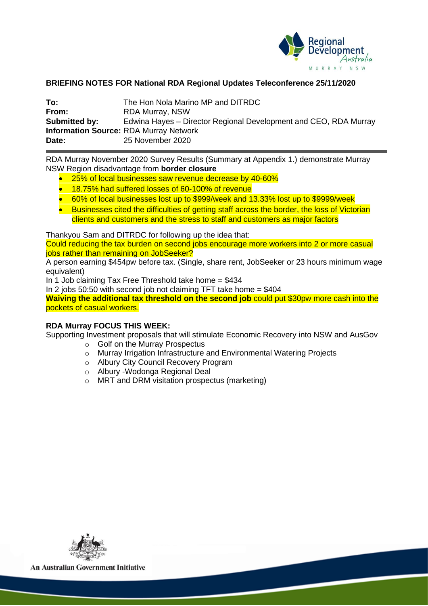

# **BRIEFING NOTES FOR National RDA Regional Updates Teleconference 25/11/2020**

| To:           | The Hon Nola Marino MP and DITRDC                                |  |  |  |
|---------------|------------------------------------------------------------------|--|--|--|
| From:         | RDA Murray, NSW                                                  |  |  |  |
| Submitted by: | Edwina Hayes – Director Regional Development and CEO, RDA Murray |  |  |  |
|               | <b>Information Source: RDA Murray Network</b>                    |  |  |  |
| Date:         | 25 November 2020                                                 |  |  |  |

RDA Murray November 2020 Survey Results (Summary at Appendix 1.) demonstrate Murray NSW Region disadvantage from **border closure**

- 25% of local businesses saw revenue decrease by 40-60%
- 18.75% had suffered losses of 60-100% of revenue
- 60% of local businesses lost up to \$999/week and 13.33% lost up to \$9999/week
- Businesses cited the difficulties of getting staff across the border, the loss of Victorian clients and customers and the stress to staff and customers as major factors

Thankyou Sam and DITRDC for following up the idea that:

Could reducing the tax burden on second jobs encourage more workers into 2 or more casual jobs rather than remaining on JobSeeker?

A person earning \$454pw before tax. (Single, share rent, JobSeeker or 23 hours minimum wage equivalent)

In 1 Job claiming Tax Free Threshold take home = \$434

In 2 jobs 50:50 with second job not claiming TFT take home  $=$  \$404

**Waiving the additional tax threshold on the second job** could put \$30pw more cash into the pockets of casual workers.

## **RDA Murray FOCUS THIS WEEK:**

Supporting Investment proposals that will stimulate Economic Recovery into NSW and AusGov

- o Golf on the Murray Prospectus
- o Murray Irrigation Infrastructure and Environmental Watering Projects
- o Albury City Council Recovery Program
- o Albury -Wodonga Regional Deal
- o MRT and DRM visitation prospectus (marketing)



**An Australian Government Initiative**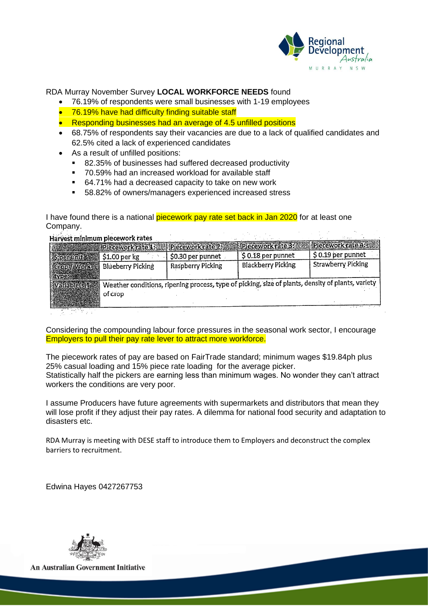

## RDA Murray November Survey **LOCAL WORKFORCE NEEDS** found

- 76.19% of respondents were small businesses with 1-19 employees
- 76.19% have had difficulty finding suitable staff
- Responding businesses had an average of 4.5 unfilled positions
- 68.75% of respondents say their vacancies are due to a lack of qualified candidates and 62.5% cited a lack of experienced candidates
- As a result of unfilled positions:
	- 82.35% of businesses had suffered decreased productivity
	- 70.59% had an increased workload for available staff
	- 64.71% had a decreased capacity to take on new work
	- 58.82% of owners/managers experienced increased stress

I have found there is a national **piecework pay rate set back in Jan 2020** for at least one Company.<br>Harvest minimum piecework rates

|             | <b>Piecework rate 1</b>                                                                                      |                   | Precework rate 2: Precework rate 3: Precework rate 4: 8 |                    |  |  |
|-------------|--------------------------------------------------------------------------------------------------------------|-------------------|---------------------------------------------------------|--------------------|--|--|
| Sperunit    | \$1.00 per kg                                                                                                | \$0.30 per punnet | \$0.18 per punnet                                       | \$0.19 per punnet  |  |  |
| Grop/Work   | Blueberry Picking                                                                                            | Raspberry Picking | <b>Blackberry Picking</b>                               | Strawberry Picking |  |  |
| Variable(s) | Weather conditions, ripening process, type of picking, size of plants, density of plants, variety<br>of crop |                   |                                                         |                    |  |  |

Considering the compounding labour force pressures in the seasonal work sector, I encourage Employers to pull their pay rate lever to attract more workforce.

The piecework rates of pay are based on FairTrade standard; minimum wages \$19.84ph plus 25% casual loading and 15% piece rate loading for the average picker. Statistically half the pickers are earning less than minimum wages. No wonder they can't attract workers the conditions are very poor.

I assume Producers have future agreements with supermarkets and distributors that mean they will lose profit if they adjust their pay rates. A dilemma for national food security and adaptation to disasters etc.

RDA Murray is meeting with DESE staff to introduce them to Employers and deconstruct the complex barriers to recruitment.

Edwina Hayes 0427267753



**An Australian Government Initiative**